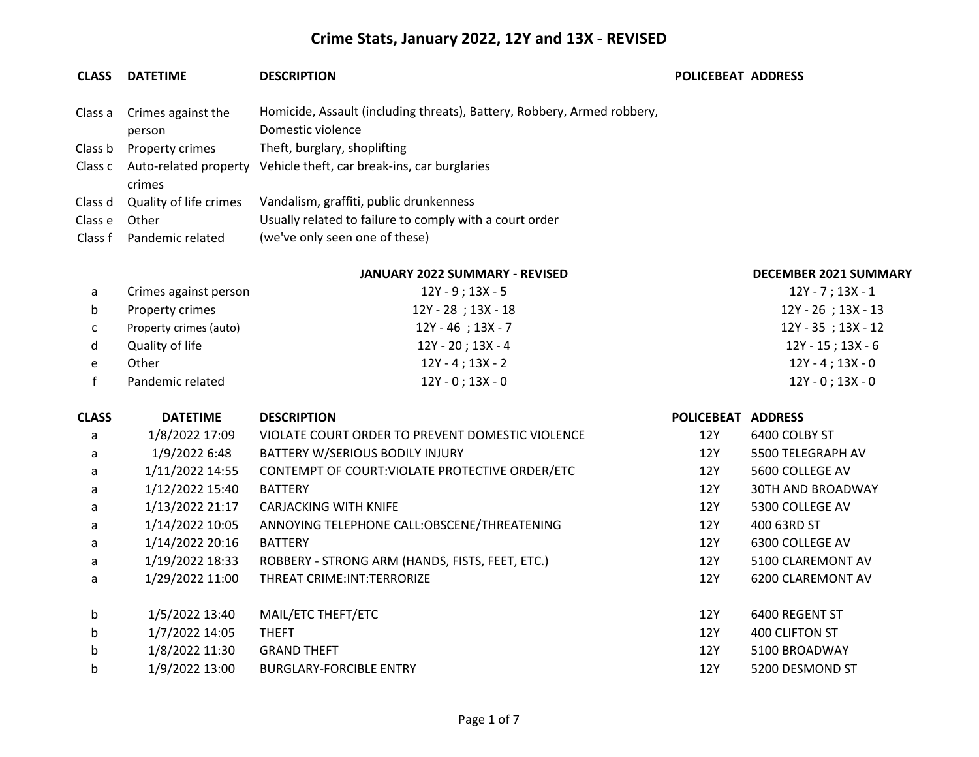#### **CLASS DATETIME DESCRIPTION POLICEBEAT ADDRESS**

person

crimes

### Class a Crimes against the Homicide, Assault (including threats), Battery, Robbery, Armed robbery, Domestic violence Class b Property crimes Theft, burglary, shoplifting Class c Auto-related property Vehicle theft, car break-ins, car burglaries

|               | Class d Quality of life crimes | Vandalism, graffiti, public drunkenness                 |
|---------------|--------------------------------|---------------------------------------------------------|
| Class e Other |                                | Usually related to failure to comply with a court order |
|               | Class f Pandemic related       | (we've only seen one of these)                          |

#### **JANUARY 2022 SUMMARY - REVISED DECEMBER 2021 SUMMARY**

|    | Crimes against person  | 12Y - 9 ; 13X - 5       | $12Y - 7$ ; 13X - 1 |
|----|------------------------|-------------------------|---------------------|
| b. | Property crimes        | $12Y - 28$ ; $13X - 18$ | 12Y - 26 ; 13X - 13 |
|    | Property crimes (auto) | $12Y - 46$ ; $13X - 7$  | 12Y - 35; 13X - 12  |
| d. | Quality of life        | 12Y - 20 ; 13X - 4      | 12Y - 15 ; 13X - 6  |
|    | Other                  | $12Y - 4$ ; $13X - 2$   | 12Y - 4 ; 13X - 0   |
|    | Pandemic related       | $12Y - 0$ ; 13X - 0     | 12Y - 0 ; 13X - 0   |

| <b>CLASS</b> | <b>DATETIME</b> | <b>DESCRIPTION</b>                               | <b>POLICEBEAT</b> | <b>ADDRESS</b>           |
|--------------|-----------------|--------------------------------------------------|-------------------|--------------------------|
| a            | 1/8/2022 17:09  | VIOLATE COURT ORDER TO PREVENT DOMESTIC VIOLENCE | 12Y               | 6400 COLBY ST            |
| a            | 1/9/2022 6:48   | BATTERY W/SERIOUS BODILY INJURY                  | 12Y               | 5500 TELEGRAPH AV        |
| a            | 1/11/2022 14:55 | CONTEMPT OF COURT: VIOLATE PROTECTIVE ORDER/ETC  | 12Y               | 5600 COLLEGE AV          |
| a            | 1/12/2022 15:40 | <b>BATTERY</b>                                   | 12Y               | <b>30TH AND BROADWAY</b> |
| a            | 1/13/2022 21:17 | <b>CARJACKING WITH KNIFE</b>                     | 12Y               | 5300 COLLEGE AV          |
| a            | 1/14/2022 10:05 | ANNOYING TELEPHONE CALL:OBSCENE/THREATENING      | 12Y               | 400 63RD ST              |
| a            | 1/14/2022 20:16 | <b>BATTERY</b>                                   | 12Y               | 6300 COLLEGE AV          |
| a            | 1/19/2022 18:33 | ROBBERY - STRONG ARM (HANDS, FISTS, FEET, ETC.)  | 12Y               | 5100 CLAREMONT AV        |
| a            | 1/29/2022 11:00 | THREAT CRIME: INT: TERRORIZE                     | 12Y               | 6200 CLAREMONT AV        |
| b            | 1/5/2022 13:40  | MAIL/ETC THEFT/ETC                               | 12Y               | 6400 REGENT ST           |
| b            | 1/7/2022 14:05  | <b>THEFT</b>                                     | 12Y               | 400 CLIFTON ST           |
| b            | 1/8/2022 11:30  | <b>GRAND THEFT</b>                               | 12Y               | 5100 BROADWAY            |
| b            | 1/9/2022 13:00  | <b>BURGLARY-FORCIBLE ENTRY</b>                   | 12Y               | 5200 DESMOND ST          |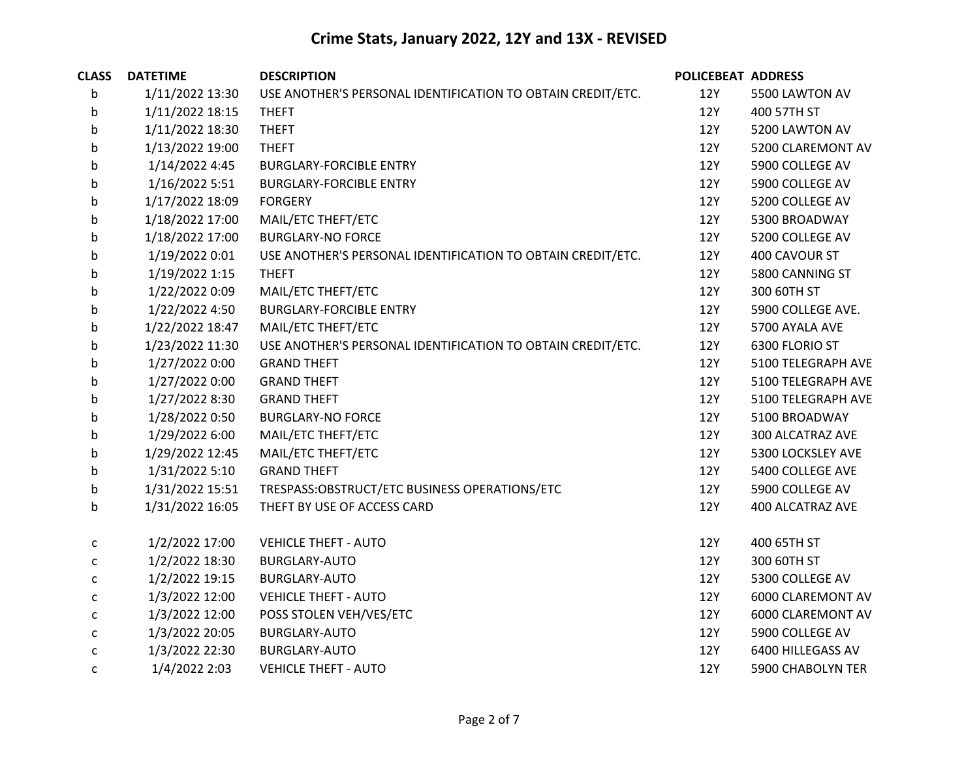| <b>CLASS</b> | <b>DATETIME</b> | <b>DESCRIPTION</b>                                          | <b>POLICEBEAT ADDRESS</b> |                          |
|--------------|-----------------|-------------------------------------------------------------|---------------------------|--------------------------|
| b            | 1/11/2022 13:30 | USE ANOTHER'S PERSONAL IDENTIFICATION TO OBTAIN CREDIT/ETC. | 12Y                       | 5500 LAWTON AV           |
| b            | 1/11/2022 18:15 | <b>THEFT</b>                                                | 12Y                       | 400 57TH ST              |
| b            | 1/11/2022 18:30 | <b>THEFT</b>                                                | 12Y                       | 5200 LAWTON AV           |
| b            | 1/13/2022 19:00 | <b>THEFT</b>                                                | 12Y                       | 5200 CLAREMONT AV        |
| b            | 1/14/2022 4:45  | <b>BURGLARY-FORCIBLE ENTRY</b>                              | 12Y                       | 5900 COLLEGE AV          |
| b            | 1/16/2022 5:51  | <b>BURGLARY-FORCIBLE ENTRY</b>                              | 12Y                       | 5900 COLLEGE AV          |
| b            | 1/17/2022 18:09 | <b>FORGERY</b>                                              | 12Y                       | 5200 COLLEGE AV          |
| b            | 1/18/2022 17:00 | MAIL/ETC THEFT/ETC                                          | 12Y                       | 5300 BROADWAY            |
| b            | 1/18/2022 17:00 | <b>BURGLARY-NO FORCE</b>                                    | <b>12Y</b>                | 5200 COLLEGE AV          |
| b            | 1/19/2022 0:01  | USE ANOTHER'S PERSONAL IDENTIFICATION TO OBTAIN CREDIT/ETC. | 12Y                       | 400 CAVOUR ST            |
| b            | 1/19/2022 1:15  | <b>THEFT</b>                                                | 12Y                       | 5800 CANNING ST          |
| b            | 1/22/2022 0:09  | MAIL/ETC THEFT/ETC                                          | 12Y                       | 300 60TH ST              |
| b            | 1/22/2022 4:50  | <b>BURGLARY-FORCIBLE ENTRY</b>                              | 12Y                       | 5900 COLLEGE AVE.        |
| b            | 1/22/2022 18:47 | MAIL/ETC THEFT/ETC                                          | <b>12Y</b>                | 5700 AYALA AVE           |
| b            | 1/23/2022 11:30 | USE ANOTHER'S PERSONAL IDENTIFICATION TO OBTAIN CREDIT/ETC. | 12Y                       | 6300 FLORIO ST           |
| b            | 1/27/2022 0:00  | <b>GRAND THEFT</b>                                          | 12Y                       | 5100 TELEGRAPH AVE       |
| b            | 1/27/2022 0:00  | <b>GRAND THEFT</b>                                          | <b>12Y</b>                | 5100 TELEGRAPH AVE       |
| b            | 1/27/2022 8:30  | <b>GRAND THEFT</b>                                          | 12Y                       | 5100 TELEGRAPH AVE       |
| b            | 1/28/2022 0:50  | <b>BURGLARY-NO FORCE</b>                                    | 12Y                       | 5100 BROADWAY            |
| b            | 1/29/2022 6:00  | MAIL/ETC THEFT/ETC                                          | 12Y                       | 300 ALCATRAZ AVE         |
| b            | 1/29/2022 12:45 | MAIL/ETC THEFT/ETC                                          | 12Y                       | 5300 LOCKSLEY AVE        |
| b            | 1/31/2022 5:10  | <b>GRAND THEFT</b>                                          | 12Y                       | 5400 COLLEGE AVE         |
| b            | 1/31/2022 15:51 | TRESPASS:OBSTRUCT/ETC BUSINESS OPERATIONS/ETC               | 12Y                       | 5900 COLLEGE AV          |
| b            | 1/31/2022 16:05 | THEFT BY USE OF ACCESS CARD                                 | <b>12Y</b>                | 400 ALCATRAZ AVE         |
| $\mathsf{C}$ | 1/2/2022 17:00  | <b>VEHICLE THEFT - AUTO</b>                                 | 12Y                       | 400 65TH ST              |
| C            | 1/2/2022 18:30  | <b>BURGLARY-AUTO</b>                                        | 12Y                       | 300 60TH ST              |
| С            | 1/2/2022 19:15  | <b>BURGLARY-AUTO</b>                                        | 12Y                       | 5300 COLLEGE AV          |
| $\mathsf{C}$ | 1/3/2022 12:00  | <b>VEHICLE THEFT - AUTO</b>                                 | 12Y                       | 6000 CLAREMONT AV        |
| с            | 1/3/2022 12:00  | POSS STOLEN VEH/VES/ETC                                     | 12Y                       | 6000 CLAREMONT AV        |
| $\mathsf{C}$ | 1/3/2022 20:05  | <b>BURGLARY-AUTO</b>                                        | 12Y                       | 5900 COLLEGE AV          |
| C            | 1/3/2022 22:30  | <b>BURGLARY-AUTO</b>                                        | 12Y                       | 6400 HILLEGASS AV        |
| $\mathsf{C}$ | 1/4/2022 2:03   | <b>VEHICLE THEFT - AUTO</b>                                 | 12Y                       | <b>5900 CHABOLYN TER</b> |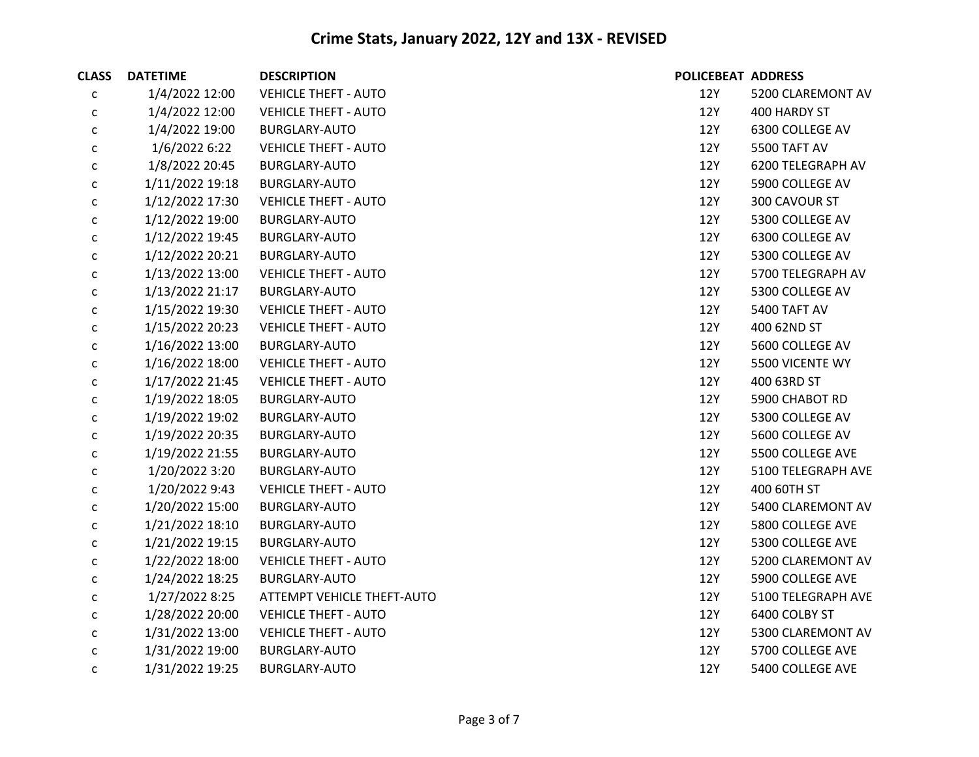| <b>CLASS</b> | <b>DATETIME</b> | <b>DESCRIPTION</b>          | POLICEBEAT ADDRESS |                    |
|--------------|-----------------|-----------------------------|--------------------|--------------------|
| c            | 1/4/2022 12:00  | <b>VEHICLE THEFT - AUTO</b> | 12Y                | 5200 CLAREMONT AV  |
| c            | 1/4/2022 12:00  | <b>VEHICLE THEFT - AUTO</b> | 12Y                | 400 HARDY ST       |
| с            | 1/4/2022 19:00  | <b>BURGLARY-AUTO</b>        | 12Y                | 6300 COLLEGE AV    |
| $\mathsf{C}$ | 1/6/2022 6:22   | <b>VEHICLE THEFT - AUTO</b> | 12Y                | 5500 TAFT AV       |
| $\mathsf{C}$ | 1/8/2022 20:45  | <b>BURGLARY-AUTO</b>        | 12Y                | 6200 TELEGRAPH AV  |
| с            | 1/11/2022 19:18 | <b>BURGLARY-AUTO</b>        | 12Y                | 5900 COLLEGE AV    |
| $\mathsf{C}$ | 1/12/2022 17:30 | <b>VEHICLE THEFT - AUTO</b> | 12Y                | 300 CAVOUR ST      |
| $\mathsf{C}$ | 1/12/2022 19:00 | <b>BURGLARY-AUTO</b>        | 12Y                | 5300 COLLEGE AV    |
| с            | 1/12/2022 19:45 | <b>BURGLARY-AUTO</b>        | 12Y                | 6300 COLLEGE AV    |
| $\mathsf{C}$ | 1/12/2022 20:21 | <b>BURGLARY-AUTO</b>        | 12Y                | 5300 COLLEGE AV    |
| $\mathsf{C}$ | 1/13/2022 13:00 | <b>VEHICLE THEFT - AUTO</b> | 12Y                | 5700 TELEGRAPH AV  |
| $\mathsf{C}$ | 1/13/2022 21:17 | <b>BURGLARY-AUTO</b>        | 12Y                | 5300 COLLEGE AV    |
| с            | 1/15/2022 19:30 | <b>VEHICLE THEFT - AUTO</b> | 12Y                | 5400 TAFT AV       |
| $\mathsf{C}$ | 1/15/2022 20:23 | <b>VEHICLE THEFT - AUTO</b> | 12Y                | 400 62ND ST        |
| $\mathsf{C}$ | 1/16/2022 13:00 | <b>BURGLARY-AUTO</b>        | 12Y                | 5600 COLLEGE AV    |
| С            | 1/16/2022 18:00 | <b>VEHICLE THEFT - AUTO</b> | 12Y                | 5500 VICENTE WY    |
| с            | 1/17/2022 21:45 | <b>VEHICLE THEFT - AUTO</b> | 12Y                | 400 63RD ST        |
| $\mathsf{C}$ | 1/19/2022 18:05 | <b>BURGLARY-AUTO</b>        | 12Y                | 5900 CHABOT RD     |
| $\mathsf{C}$ | 1/19/2022 19:02 | <b>BURGLARY-AUTO</b>        | 12Y                | 5300 COLLEGE AV    |
| с            | 1/19/2022 20:35 | <b>BURGLARY-AUTO</b>        | 12Y                | 5600 COLLEGE AV    |
| $\mathsf{C}$ | 1/19/2022 21:55 | BURGLARY-AUTO               | 12Y                | 5500 COLLEGE AVE   |
| $\mathsf{C}$ | 1/20/2022 3:20  | <b>BURGLARY-AUTO</b>        | 12Y                | 5100 TELEGRAPH AVE |
| с            | 1/20/2022 9:43  | <b>VEHICLE THEFT - AUTO</b> | 12Y                | 400 60TH ST        |
| с            | 1/20/2022 15:00 | <b>BURGLARY-AUTO</b>        | 12Y                | 5400 CLAREMONT AV  |
| $\mathsf{C}$ | 1/21/2022 18:10 | BURGLARY-AUTO               | 12Y                | 5800 COLLEGE AVE   |
| $\mathsf{C}$ | 1/21/2022 19:15 | <b>BURGLARY-AUTO</b>        | 12Y                | 5300 COLLEGE AVE   |
| с            | 1/22/2022 18:00 | <b>VEHICLE THEFT - AUTO</b> | 12Y                | 5200 CLAREMONT AV  |
| $\mathsf{C}$ | 1/24/2022 18:25 | <b>BURGLARY-AUTO</b>        | 12Y                | 5900 COLLEGE AVE   |
| $\mathsf{C}$ | 1/27/2022 8:25  | ATTEMPT VEHICLE THEFT-AUTO  | 12Y                | 5100 TELEGRAPH AVE |
| $\mathsf{C}$ | 1/28/2022 20:00 | <b>VEHICLE THEFT - AUTO</b> | 12Y                | 6400 COLBY ST      |
| C            | 1/31/2022 13:00 | <b>VEHICLE THEFT - AUTO</b> | 12Y                | 5300 CLAREMONT AV  |
| с            | 1/31/2022 19:00 | BURGLARY-AUTO               | 12Y                | 5700 COLLEGE AVE   |
| $\mathsf{C}$ | 1/31/2022 19:25 | <b>BURGLARY-AUTO</b>        | 12Y                | 5400 COLLEGE AVE   |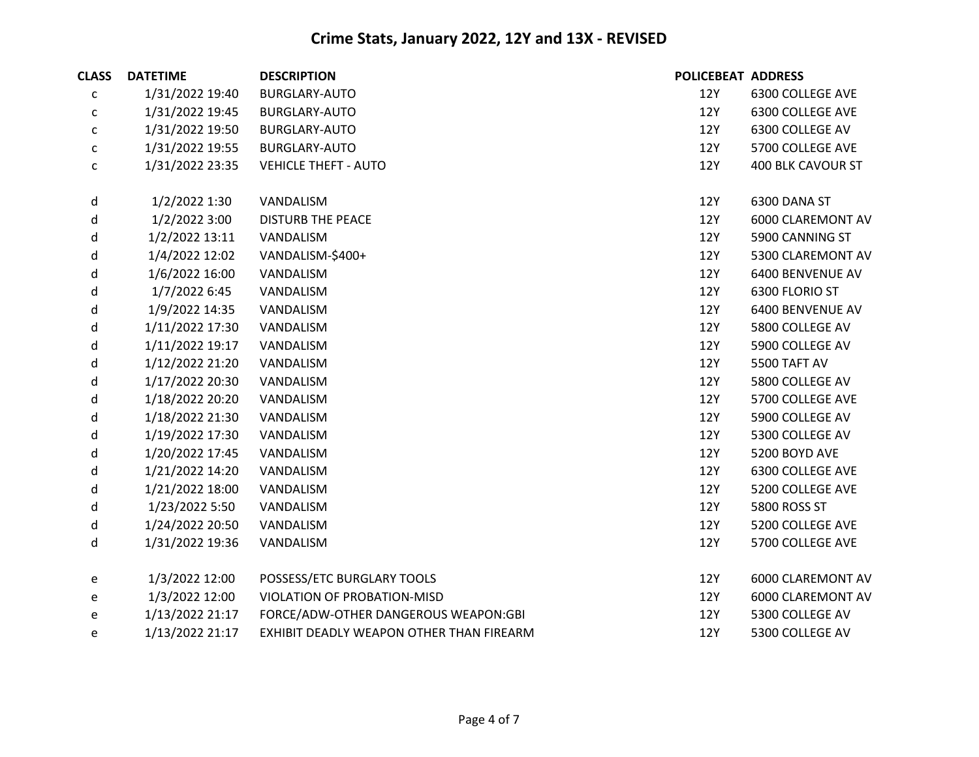| <b>CLASS</b> | <b>DATETIME</b> | <b>DESCRIPTION</b>                       | <b>POLICEBEAT ADDRESS</b> |                   |
|--------------|-----------------|------------------------------------------|---------------------------|-------------------|
| С            | 1/31/2022 19:40 | <b>BURGLARY-AUTO</b>                     | 12Y                       | 6300 COLLEGE AVE  |
| С            | 1/31/2022 19:45 | BURGLARY-AUTO                            | 12Y                       | 6300 COLLEGE AVE  |
| $\mathsf{C}$ | 1/31/2022 19:50 | BURGLARY-AUTO                            | 12Y                       | 6300 COLLEGE AV   |
| с            | 1/31/2022 19:55 | <b>BURGLARY-AUTO</b>                     | 12Y                       | 5700 COLLEGE AVE  |
| С            | 1/31/2022 23:35 | <b>VEHICLE THEFT - AUTO</b>              | 12Y                       | 400 BLK CAVOUR ST |
| d            | 1/2/2022 1:30   | VANDALISM                                | 12Y                       | 6300 DANA ST      |
| d            | 1/2/2022 3:00   | <b>DISTURB THE PEACE</b>                 | 12Y                       | 6000 CLAREMONT AV |
| d            | 1/2/2022 13:11  | VANDALISM                                | 12Y                       | 5900 CANNING ST   |
| d            | 1/4/2022 12:02  | VANDALISM-\$400+                         | 12Y                       | 5300 CLAREMONT AV |
| d            | 1/6/2022 16:00  | VANDALISM                                | 12Y                       | 6400 BENVENUE AV  |
| d            | 1/7/2022 6:45   | VANDALISM                                | 12Y                       | 6300 FLORIO ST    |
| d            | 1/9/2022 14:35  | VANDALISM                                | 12Y                       | 6400 BENVENUE AV  |
| d            | 1/11/2022 17:30 | VANDALISM                                | 12Y                       | 5800 COLLEGE AV   |
| d            | 1/11/2022 19:17 | VANDALISM                                | 12Y                       | 5900 COLLEGE AV   |
| d            | 1/12/2022 21:20 | VANDALISM                                | 12Y                       | 5500 TAFT AV      |
| d            | 1/17/2022 20:30 | VANDALISM                                | 12Y                       | 5800 COLLEGE AV   |
| d            | 1/18/2022 20:20 | VANDALISM                                | 12Y                       | 5700 COLLEGE AVE  |
| d            | 1/18/2022 21:30 | VANDALISM                                | 12Y                       | 5900 COLLEGE AV   |
| d            | 1/19/2022 17:30 | VANDALISM                                | 12Y                       | 5300 COLLEGE AV   |
| d            | 1/20/2022 17:45 | VANDALISM                                | 12Y                       | 5200 BOYD AVE     |
| d            | 1/21/2022 14:20 | VANDALISM                                | 12Y                       | 6300 COLLEGE AVE  |
| d            | 1/21/2022 18:00 | VANDALISM                                | 12Y                       | 5200 COLLEGE AVE  |
| d            | 1/23/2022 5:50  | VANDALISM                                | 12Y                       | 5800 ROSS ST      |
| d            | 1/24/2022 20:50 | VANDALISM                                | 12Y                       | 5200 COLLEGE AVE  |
| d            | 1/31/2022 19:36 | VANDALISM                                | 12Y                       | 5700 COLLEGE AVE  |
| e            | 1/3/2022 12:00  | POSSESS/ETC BURGLARY TOOLS               | 12Y                       | 6000 CLAREMONT AV |
| e            | 1/3/2022 12:00  | VIOLATION OF PROBATION-MISD              | 12Y                       | 6000 CLAREMONT AV |
| e            | 1/13/2022 21:17 | FORCE/ADW-OTHER DANGEROUS WEAPON:GBI     | 12Y                       | 5300 COLLEGE AV   |
| e            | 1/13/2022 21:17 | EXHIBIT DEADLY WEAPON OTHER THAN FIREARM | 12Y                       | 5300 COLLEGE AV   |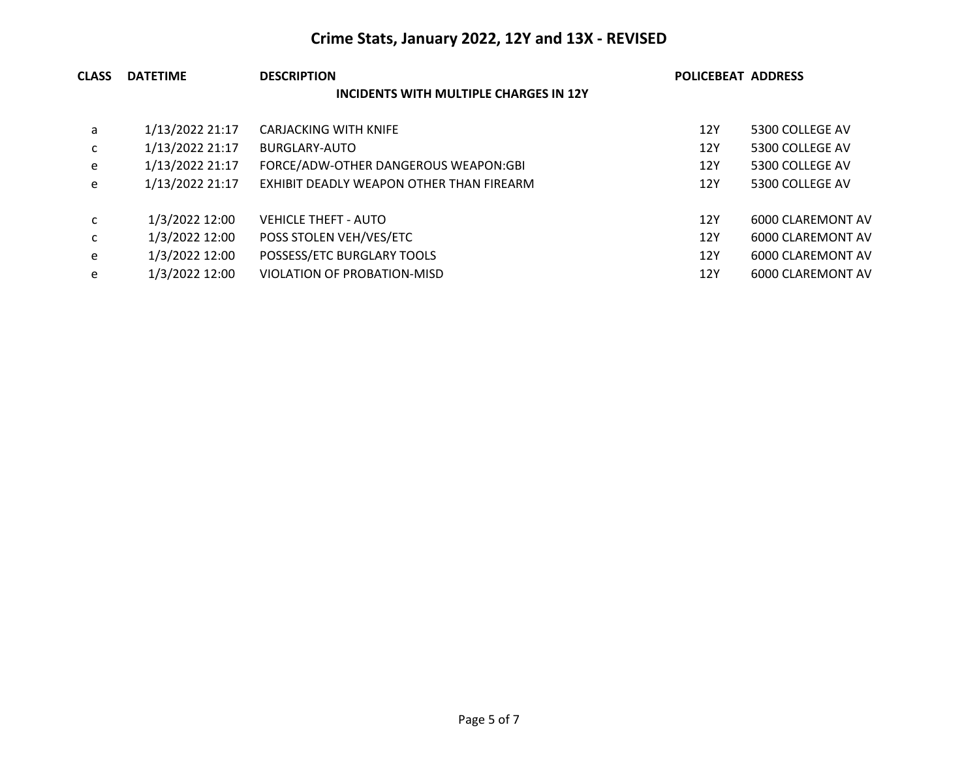| <b>CLASS</b> | <b>DATETIME</b> | <b>DESCRIPTION</b>                       | <b>POLICEBEAT ADDRESS</b> |                   |  |
|--------------|-----------------|------------------------------------------|---------------------------|-------------------|--|
|              |                 | INCIDENTS WITH MULTIPLE CHARGES IN 12Y   |                           |                   |  |
| a            | 1/13/2022 21:17 | CARJACKING WITH KNIFE                    | 12Y                       | 5300 COLLEGE AV   |  |
| C            | 1/13/2022 21:17 | BURGLARY-AUTO                            | 12Y                       | 5300 COLLEGE AV   |  |
| e            | 1/13/2022 21:17 | FORCE/ADW-OTHER DANGEROUS WEAPON:GBI     | 12Y                       | 5300 COLLEGE AV   |  |
| e            | 1/13/2022 21:17 | EXHIBIT DEADLY WEAPON OTHER THAN FIREARM | 12Y                       | 5300 COLLEGE AV   |  |
| c            | 1/3/2022 12:00  | <b>VEHICLE THEFT - AUTO</b>              | 12Y                       | 6000 CLAREMONT AV |  |
| C            | 1/3/2022 12:00  | POSS STOLEN VEH/VES/ETC                  | 12Y                       | 6000 CLAREMONT AV |  |
| e            | 1/3/2022 12:00  | POSSESS/ETC BURGLARY TOOLS               | 12Y                       | 6000 CLAREMONT AV |  |
| e            | 1/3/2022 12:00  | VIOLATION OF PROBATION-MISD              | 12Y                       | 6000 CLAREMONT AV |  |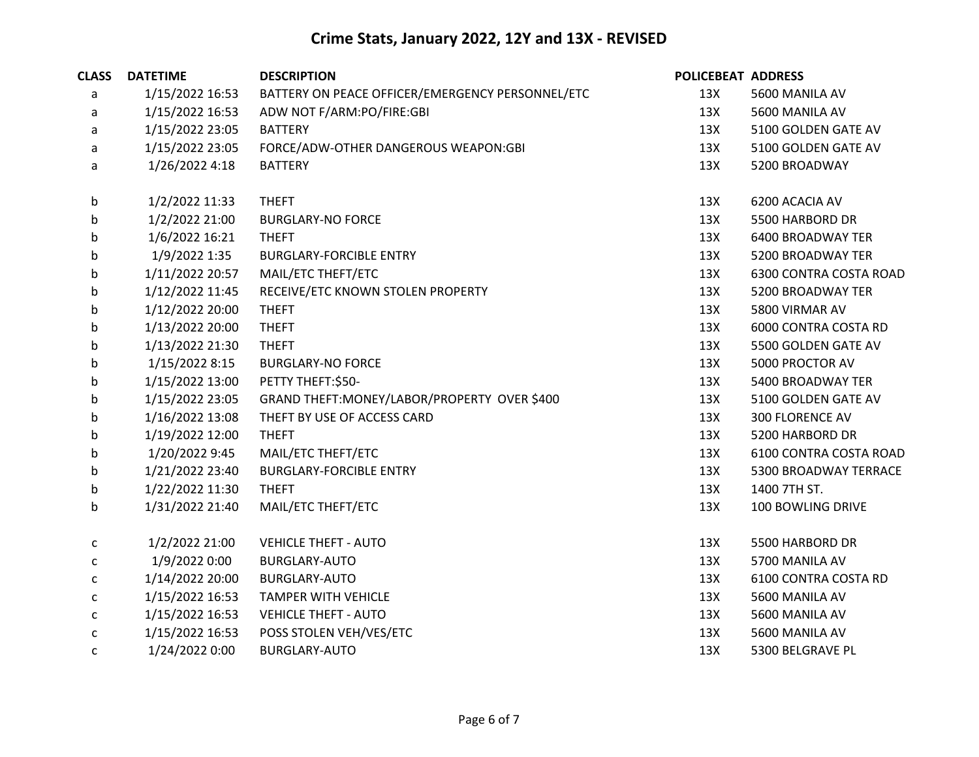| <b>CLASS</b> | <b>DATETIME</b> | <b>DESCRIPTION</b>                               | POLICEBEAT ADDRESS |                               |
|--------------|-----------------|--------------------------------------------------|--------------------|-------------------------------|
| a            | 1/15/2022 16:53 | BATTERY ON PEACE OFFICER/EMERGENCY PERSONNEL/ETC | 13X                | 5600 MANILA AV                |
| a            | 1/15/2022 16:53 | ADW NOT F/ARM:PO/FIRE:GBI                        | 13X                | 5600 MANILA AV                |
| a            | 1/15/2022 23:05 | <b>BATTERY</b>                                   | 13X                | 5100 GOLDEN GATE AV           |
| a            | 1/15/2022 23:05 | FORCE/ADW-OTHER DANGEROUS WEAPON:GBI             | 13X                | 5100 GOLDEN GATE AV           |
| a            | 1/26/2022 4:18  | <b>BATTERY</b>                                   | 13X                | 5200 BROADWAY                 |
| b            | 1/2/2022 11:33  | <b>THEFT</b>                                     | 13X                | 6200 ACACIA AV                |
| b            | 1/2/2022 21:00  | <b>BURGLARY-NO FORCE</b>                         | 13X                | 5500 HARBORD DR               |
| b            | 1/6/2022 16:21  | <b>THEFT</b>                                     | 13X                | 6400 BROADWAY TER             |
| b            | 1/9/2022 1:35   | <b>BURGLARY-FORCIBLE ENTRY</b>                   | 13X                | 5200 BROADWAY TER             |
| b            | 1/11/2022 20:57 | MAIL/ETC THEFT/ETC                               | 13X                | <b>6300 CONTRA COSTA ROAD</b> |
| b            | 1/12/2022 11:45 | RECEIVE/ETC KNOWN STOLEN PROPERTY                | 13X                | 5200 BROADWAY TER             |
| b            | 1/12/2022 20:00 | <b>THEFT</b>                                     | 13X                | 5800 VIRMAR AV                |
| b            | 1/13/2022 20:00 | <b>THEFT</b>                                     | 13X                | 6000 CONTRA COSTA RD          |
| b            | 1/13/2022 21:30 | <b>THEFT</b>                                     | 13X                | 5500 GOLDEN GATE AV           |
| b            | 1/15/2022 8:15  | <b>BURGLARY-NO FORCE</b>                         | 13X                | 5000 PROCTOR AV               |
| b            | 1/15/2022 13:00 | PETTY THEFT:\$50-                                | 13X                | 5400 BROADWAY TER             |
| b            | 1/15/2022 23:05 | GRAND THEFT: MONEY/LABOR/PROPERTY OVER \$400     | 13X                | 5100 GOLDEN GATE AV           |
| b            | 1/16/2022 13:08 | THEFT BY USE OF ACCESS CARD                      | 13X                | <b>300 FLORENCE AV</b>        |
| b            | 1/19/2022 12:00 | <b>THEFT</b>                                     | 13X                | 5200 HARBORD DR               |
| b            | 1/20/2022 9:45  | MAIL/ETC THEFT/ETC                               | 13X                | 6100 CONTRA COSTA ROAD        |
| b            | 1/21/2022 23:40 | <b>BURGLARY-FORCIBLE ENTRY</b>                   | 13X                | 5300 BROADWAY TERRACE         |
| b            | 1/22/2022 11:30 | <b>THEFT</b>                                     | 13X                | 1400 7TH ST.                  |
| b            | 1/31/2022 21:40 | MAIL/ETC THEFT/ETC                               | 13X                | 100 BOWLING DRIVE             |
| C            | 1/2/2022 21:00  | <b>VEHICLE THEFT - AUTO</b>                      | 13X                | 5500 HARBORD DR               |
| C            | 1/9/2022 0:00   | <b>BURGLARY-AUTO</b>                             | 13X                | 5700 MANILA AV                |
| C            | 1/14/2022 20:00 | <b>BURGLARY-AUTO</b>                             | 13X                | 6100 CONTRA COSTA RD          |
| $\mathsf{C}$ | 1/15/2022 16:53 | <b>TAMPER WITH VEHICLE</b>                       | 13X                | 5600 MANILA AV                |
| C            | 1/15/2022 16:53 | <b>VEHICLE THEFT - AUTO</b>                      | 13X                | 5600 MANILA AV                |
| c            | 1/15/2022 16:53 | POSS STOLEN VEH/VES/ETC                          | 13X                | 5600 MANILA AV                |
| c            | 1/24/2022 0:00  | <b>BURGLARY-AUTO</b>                             | 13X                | 5300 BELGRAVE PL              |